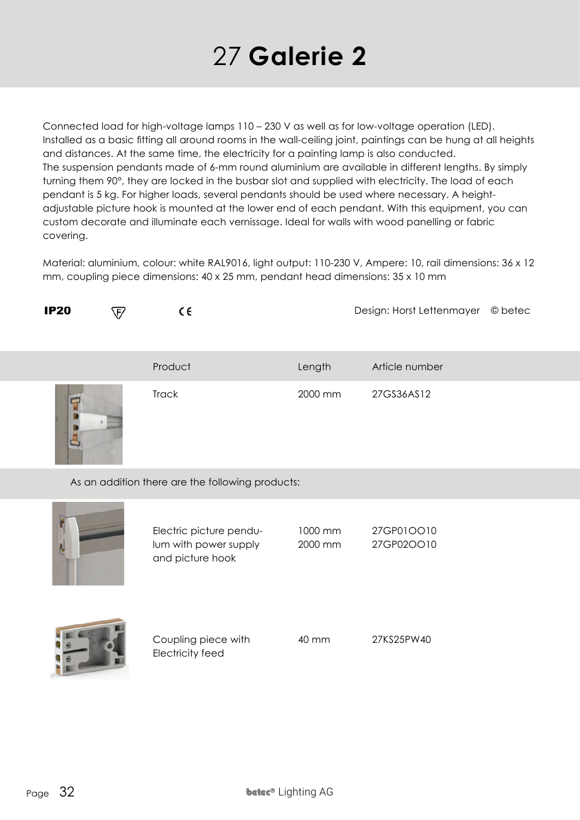## 27 **Galerie 2**

Connected load for high-voltage lamps 110 – 230 V as well as for low-voltage operation (LED). Installed as a basic fitting all around rooms in the wall-ceiling joint, paintings can be hung at all heights and distances. At the same time, the electricity for a painting lamp is also conducted. The suspension pendants made of 6-mm round aluminium are available in different lengths. By simply turning them 90°, they are locked in the busbar slot and supplied with electricity. The load of each pendant is 5 kg. For higher loads, several pendants should be used where necessary. A heightadjustable picture hook is mounted at the lower end of each pendant. With this equipment, you can custom decorate and illuminate each vernissage. Ideal for walls with wood panelling or fabric covering.

Material: aluminium, colour: white RAL9016, light output: 110-230 V, Ampere: 10, rail dimensions: 36 x 12 mm, coupling piece dimensions: 40 x 25 mm, pendant head dimensions: 35 x 10 mm

| <b>IP20</b>                                      | $\epsilon$ | ce           |         | Design: Horst Lettenmayer | © betec |
|--------------------------------------------------|------------|--------------|---------|---------------------------|---------|
|                                                  |            | Product      | Length  | Article number            |         |
|                                                  |            | <b>Track</b> | 2000 mm | 27GS36AS12                |         |
| As an addition there are the following products: |            |              |         |                           |         |
|                                                  |            |              |         |                           |         |